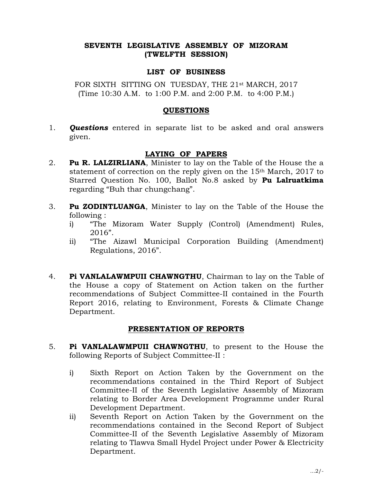# SEVENTH LEGISLATIVE ASSEMBLY OF MIZORAM (TWELFTH SESSION)

### LIST OF BUSINESS

FOR SIXTH SITTING ON TUESDAY, THE 21<sup>st</sup> MARCH, 2017 (Time 10:30 A.M. to 1:00 P.M. and 2:00 P.M. to 4:00 P.M.)

### QUESTIONS

1. **Questions** entered in separate list to be asked and oral answers given.

# LAYING OF PAPERS

- 2. **Pu R. LALZIRLIANA**, Minister to lay on the Table of the House the a statement of correction on the reply given on the 15th March, 2017 to Starred Question No. 100, Ballot No.8 asked by Pu Lalruatkima regarding "Buh thar chungchang".
- 3. Pu ZODINTLUANGA, Minister to lay on the Table of the House the following :
	- i) "The Mizoram Water Supply (Control) (Amendment) Rules, 2016".
	- ii) "The Aizawl Municipal Corporation Building (Amendment) Regulations, 2016".
- 4. Pi VANLALAWMPUII CHAWNGTHU, Chairman to lay on the Table of the House a copy of Statement on Action taken on the further recommendations of Subject Committee-II contained in the Fourth Report 2016, relating to Environment, Forests & Climate Change Department.

# PRESENTATION OF REPORTS

- 5. Pi VANLALAWMPUII CHAWNGTHU, to present to the House the following Reports of Subject Committee-II :
	- i) Sixth Report on Action Taken by the Government on the recommendations contained in the Third Report of Subject Committee-II of the Seventh Legislative Assembly of Mizoram relating to Border Area Development Programme under Rural Development Department.
	- ii) Seventh Report on Action Taken by the Government on the recommendations contained in the Second Report of Subject Committee-II of the Seventh Legislative Assembly of Mizoram relating to Tlawva Small Hydel Project under Power & Electricity Department.